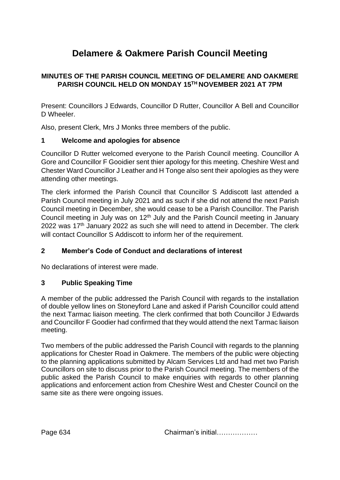# **Delamere & Oakmere Parish Council Meeting**

# **MINUTES OF THE PARISH COUNCIL MEETING OF DELAMERE AND OAKMERE PARISH COUNCIL HELD ON MONDAY 15TH NOVEMBER 2021 AT 7PM**

Present: Councillors J Edwards, Councillor D Rutter, Councillor A Bell and Councillor D Wheeler

Also, present Clerk, Mrs J Monks three members of the public.

# **1 Welcome and apologies for absence**

Councillor D Rutter welcomed everyone to the Parish Council meeting. Councillor A Gore and Councillor F Gooidier sent thier apology for this meeting. Cheshire West and Chester Ward Councillor J Leather and H Tonge also sent their apologies as they were attending other meetings.

The clerk informed the Parish Council that Councillor S Addiscott last attended a Parish Council meeting in July 2021 and as such if she did not attend the next Parish Council meeting in December, she would cease to be a Parish Councillor. The Parish Council meeting in July was on 12<sup>th</sup> July and the Parish Council meeting in January 2022 was  $17<sup>th</sup>$  January 2022 as such she will need to attend in December. The clerk will contact Councillor S Addiscott to inform her of the requirement.

# **2 Member's Code of Conduct and declarations of interest**

No declarations of interest were made.

# **3 Public Speaking Time**

A member of the public addressed the Parish Council with regards to the installation of double yellow lines on Stoneyford Lane and asked if Parish Councillor could attend the next Tarmac liaison meeting. The clerk confirmed that both Councillor J Edwards and Councillor F Goodier had confirmed that they would attend the next Tarmac liaison meeting.

Two members of the public addressed the Parish Council with regards to the planning applications for Chester Road in Oakmere. The members of the public were objecting to the planning applications submitted by Alcam Services Ltd and had met two Parish Councillors on site to discuss prior to the Parish Council meeting. The members of the public asked the Parish Council to make enquiries with regards to other planning applications and enforcement action from Cheshire West and Chester Council on the same site as there were ongoing issues.

Page 634 Chairman's initial………………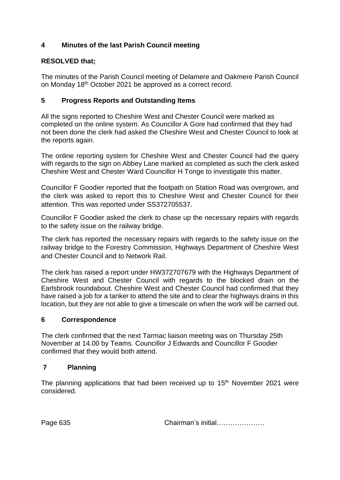# **4 Minutes of the last Parish Council meeting**

# **RESOLVED that;**

The minutes of the Parish Council meeting of Delamere and Oakmere Parish Council on Monday 18th October 2021 be approved as a correct record.

# **5 Progress Reports and Outstanding Items**

All the signs reported to Cheshire West and Chester Council were marked as completed on the online system. As Councillor A Gore had confirmed that they had not been done the clerk had asked the Cheshire West and Chester Council to look at the reports again.

The online reporting system for Cheshire West and Chester Council had the query with regards to the sign on Abbey Lane marked as completed as such the clerk asked Cheshire West and Chester Ward Councillor H Tonge to investigate this matter.

Councillor F Goodier reported that the footpath on Station Road was overgrown, and the clerk was asked to report this to Cheshire West and Chester Council for their attention. This was reported under SS372705537.

Councillor F Goodier asked the clerk to chase up the necessary repairs with regards to the safety issue on the railway bridge.

The clerk has reported the necessary repairs with regards to the safety issue on the railway bridge to the Forestry Commission, Highways Department of Cheshire West and Chester Council and to Network Rail.

The clerk has raised a report under HW372707679 with the Highways Department of Cheshire West and Chester Council with regards to the blocked drain on the Earlsbrook roundabout. Cheshire West and Chester Council had confirmed that they have raised a job for a tanker to attend the site and to clear the highways drains in this location, but they are not able to give a timescale on when the work will be carried out.

# **6 Correspondence**

The clerk confirmed that the next Tarmac liaison meeting was on Thursday 25th November at 14.00 by Teams. Councillor J Edwards and Councillor F Goodier confirmed that they would both attend.

# **7 Planning**

The planning applications that had been received up to 15<sup>th</sup> November 2021 were considered.

Page 635 **Chairman's initial** 2008.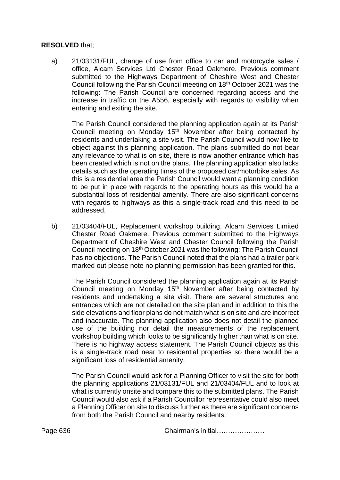#### **RESOLVED** that;

a) 21/03131/FUL, change of use from office to car and motorcycle sales / office, Alcam Services Ltd Chester Road Oakmere. Previous comment submitted to the Highways Department of Cheshire West and Chester Council following the Parish Council meeting on 18th October 2021 was the following: The Parish Council are concerned regarding access and the increase in traffic on the A556, especially with regards to visibility when entering and exiting the site.

The Parish Council considered the planning application again at its Parish Council meeting on Monday 15<sup>th</sup> November after being contacted by residents and undertaking a site visit. The Parish Council would now like to object against this planning application. The plans submitted do not bear any relevance to what is on site, there is now another entrance which has been created which is not on the plans. The planning application also lacks details such as the operating times of the proposed car/motorbike sales. As this is a residential area the Parish Council would want a planning condition to be put in place with regards to the operating hours as this would be a substantial loss of residential amenity. There are also significant concerns with regards to highways as this a single-track road and this need to be addressed.

b) 21/03404/FUL, Replacement workshop building, Alcam Services Limited Chester Road Oakmere. Previous comment submitted to the Highways Department of Cheshire West and Chester Council following the Parish Council meeting on 18th October 2021 was the following: The Parish Council has no objections. The Parish Council noted that the plans had a trailer park marked out please note no planning permission has been granted for this.

The Parish Council considered the planning application again at its Parish Council meeting on Monday 15<sup>th</sup> November after being contacted by residents and undertaking a site visit. There are several structures and entrances which are not detailed on the site plan and in addition to this the side elevations and floor plans do not match what is on site and are incorrect and inaccurate. The planning application also does not detail the planned use of the building nor detail the measurements of the replacement workshop building which looks to be significantly higher than what is on site. There is no highway access statement. The Parish Council objects as this is a single-track road near to residential properties so there would be a significant loss of residential amenity.

The Parish Council would ask for a Planning Officer to visit the site for both the planning applications 21/03131/FUL and 21/03404/FUL and to look at what is currently onsite and compare this to the submitted plans. The Parish Council would also ask if a Parish Councillor representative could also meet a Planning Officer on site to discuss further as there are significant concerns from both the Parish Council and nearby residents.

Page 636 **Chairman's initial………………**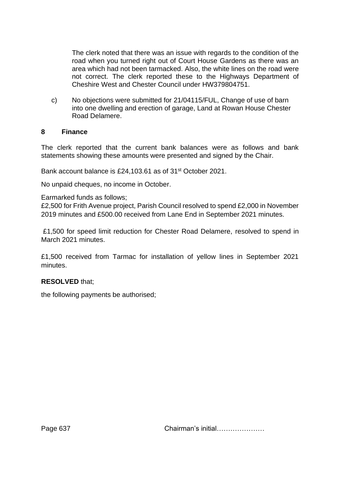The clerk noted that there was an issue with regards to the condition of the road when you turned right out of Court House Gardens as there was an area which had not been tarmacked. Also, the white lines on the road were not correct. The clerk reported these to the Highways Department of Cheshire West and Chester Council under HW379804751.

c) No objections were submitted for 21/04115/FUL, Change of use of barn into one dwelling and erection of garage, Land at Rowan House Chester Road Delamere.

#### **8 Finance**

The clerk reported that the current bank balances were as follows and bank statements showing these amounts were presented and signed by the Chair.

Bank account balance is £24,103.61 as of 31<sup>st</sup> October 2021.

No unpaid cheques, no income in October.

Earmarked funds as follows;

£2,500 for Frith Avenue project, Parish Council resolved to spend £2,000 in November 2019 minutes and £500.00 received from Lane End in September 2021 minutes.

£1,500 for speed limit reduction for Chester Road Delamere, resolved to spend in March 2021 minutes.

£1,500 received from Tarmac for installation of yellow lines in September 2021 minutes.

# **RESOLVED** that;

the following payments be authorised;

Page 637 Chairman's initial…………………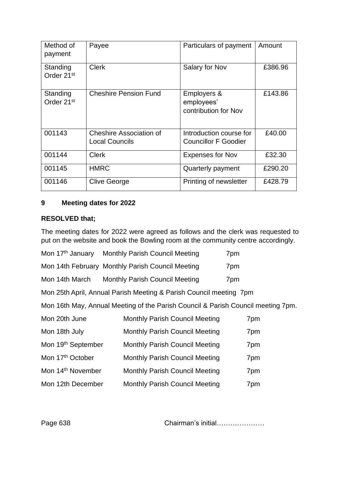| Method of<br>payment               | Payee                                            | Particulars of payment                                 | Amount  |
|------------------------------------|--------------------------------------------------|--------------------------------------------------------|---------|
| Standing<br>Order 21 <sup>st</sup> | <b>Clerk</b>                                     | Salary for Nov                                         | £386.96 |
| Standing<br>Order 21 <sup>st</sup> | <b>Cheshire Pension Fund</b>                     | Employers &<br>employees'<br>contribution for Nov      | £143.86 |
| 001143                             | Cheshire Association of<br><b>Local Councils</b> | Introduction course for<br><b>Councillor F Goodier</b> | £40.00  |
| 001144                             | <b>Clerk</b>                                     | <b>Expenses for Nov</b>                                | £32.30  |
| 001145                             | <b>HMRC</b>                                      | Quarterly payment                                      | £290.20 |
| 001146                             | <b>Clive George</b>                              | Printing of newsletter                                 | £428.79 |

# **9 Meeting dates for 2022**

#### **RESOLVED that;**

The meeting dates for 2022 were agreed as follows and the clerk was requested to put on the website and book the Bowling room at the community centre accordingly.

|  | Mon 17th January Monthly Parish Council Meeting | 7pm |
|--|-------------------------------------------------|-----|
|--|-------------------------------------------------|-----|

Mon 14th February Monthly Parish Council Meeting 7pm

Mon 14th March Monthly Parish Council Meeting 7pm

Mon 25th April, Annual Parish Meeting & Parish Council meeting 7pm

Mon 16th May, Annual Meeting of the Parish Council & Parish Council meeting 7pm.

| Mon 20th June                  | <b>Monthly Parish Council Meeting</b> | 7pm |
|--------------------------------|---------------------------------------|-----|
| Mon 18th July                  | <b>Monthly Parish Council Meeting</b> | 7pm |
| Mon 19 <sup>th</sup> September | <b>Monthly Parish Council Meeting</b> | 7pm |
| Mon 17 <sup>th</sup> October   | <b>Monthly Parish Council Meeting</b> | 7pm |
| Mon 14 <sup>th</sup> November  | <b>Monthly Parish Council Meeting</b> | 7pm |
| Mon 12th December              | <b>Monthly Parish Council Meeting</b> | 7pm |

Page 638 **Chairman's initial………………**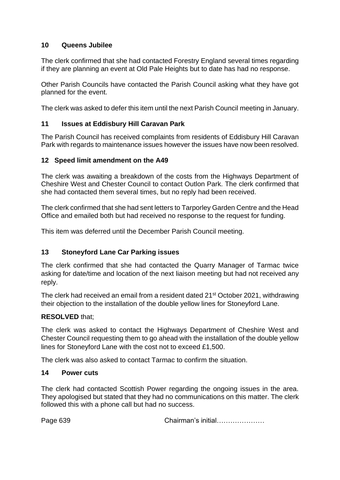# **10 Queens Jubilee**

The clerk confirmed that she had contacted Forestry England several times regarding if they are planning an event at Old Pale Heights but to date has had no response.

Other Parish Councils have contacted the Parish Council asking what they have got planned for the event.

The clerk was asked to defer this item until the next Parish Council meeting in January.

# **11 Issues at Eddisbury Hill Caravan Park**

The Parish Council has received complaints from residents of Eddisbury Hill Caravan Park with regards to maintenance issues however the issues have now been resolved.

# **12 Speed limit amendment on the A49**

The clerk was awaiting a breakdown of the costs from the Highways Department of Cheshire West and Chester Council to contact Outlon Park. The clerk confirmed that she had contacted them several times, but no reply had been received.

The clerk confirmed that she had sent letters to Tarporley Garden Centre and the Head Office and emailed both but had received no response to the request for funding.

This item was deferred until the December Parish Council meeting.

# **13 Stoneyford Lane Car Parking issues**

The clerk confirmed that she had contacted the Quarry Manager of Tarmac twice asking for date/time and location of the next liaison meeting but had not received any reply.

The clerk had received an email from a resident dated 21<sup>st</sup> October 2021, withdrawing their objection to the installation of the double yellow lines for Stoneyford Lane.

# **RESOLVED** that;

The clerk was asked to contact the Highways Department of Cheshire West and Chester Council requesting them to go ahead with the installation of the double yellow lines for Stoneyford Lane with the cost not to exceed £1,500.

The clerk was also asked to contact Tarmac to confirm the situation.

# **14 Power cuts**

The clerk had contacted Scottish Power regarding the ongoing issues in the area. They apologised but stated that they had no communications on this matter. The clerk followed this with a phone call but had no success.

Page 639 **Chairman's initial………………**